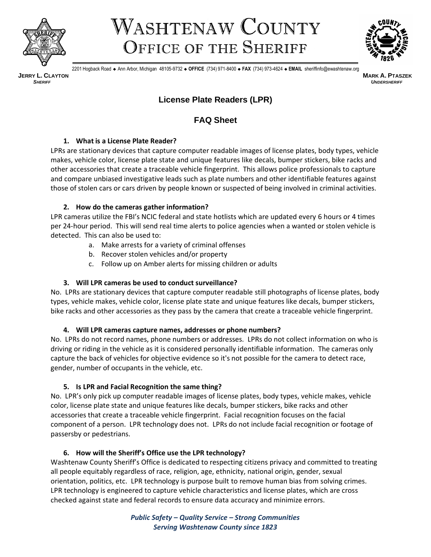

# WASHTENAW COUNTY OFFICE OF THE SHERIFF



2201 Hogback Road ◆ Ann Arbor, Michigan 48105-9732 ◆ **OFFICE** (734) 971-8400 ◆ **FAX** (734) 973-4624 ◆ **EMAIL** sheriffinfo@ewashtenaw.org

**JERRY L. CLAYTON MARK A. PTASZEK**

*SHERIFF**UNDERSHERIFF*

# **License Plate Readers (LPR)**

# **FAQ Sheet**

# **1. What is a License Plate Reader?**

LPRs are stationary devices that capture computer readable images of license plates, body types, vehicle makes, vehicle color, license plate state and unique features like decals, bumper stickers, bike racks and other accessories that create a traceable vehicle fingerprint. This allows police professionals to capture and compare unbiased investigative leads such as plate numbers and other identifiable features against those of stolen cars or cars driven by people known or suspected of being involved in criminal activities.

### **2. How do the cameras gather information?**

LPR cameras utilize the FBI's NCIC federal and state hotlists which are updated every 6 hours or 4 times per 24-hour period. This will send real time alerts to police agencies when a wanted or stolen vehicle is detected. This can also be used to:

- a. Make arrests for a variety of criminal offenses
- b. Recover stolen vehicles and/or property
- c. Follow up on Amber alerts for missing children or adults

# **3. Will LPR cameras be used to conduct surveillance?**

No. LPRs are stationary devices that capture computer readable still photographs of license plates, body types, vehicle makes, vehicle color, license plate state and unique features like decals, bumper stickers, bike racks and other accessories as they pass by the camera that create a traceable vehicle fingerprint.

# **4. Will LPR cameras capture names, addresses or phone numbers?**

No. LPRs do not record names, phone numbers or addresses. LPRs do not collect information on who is driving or riding in the vehicle as it is considered personally identifiable information. The cameras only capture the back of vehicles for objective evidence so it's not possible for the camera to detect race, gender, number of occupants in the vehicle, etc.

# **5. Is LPR and Facial Recognition the same thing?**

No. LPR's only pick up computer readable images of license plates, body types, vehicle makes, vehicle color, license plate state and unique features like decals, bumper stickers, bike racks and other accessories that create a traceable vehicle fingerprint. Facial recognition focuses on the facial component of a person. LPR technology does not. LPRs do not include facial recognition or footage of passersby or pedestrians.

# **6. How will the Sheriff's Office use the LPR technology?**

Washtenaw County Sheriff's Office is dedicated to respecting citizens privacy and committed to treating all people equitably regardless of race, religion, age, ethnicity, national origin, gender, sexual orientation, politics, etc. LPR technology is purpose built to remove human bias from solving crimes. LPR technology is engineered to capture vehicle characteristics and license plates, which are cross checked against state and federal records to ensure data accuracy and minimize errors.

> *Public Safety – Quality Service – Strong Communities Serving Washtenaw County since 1823*